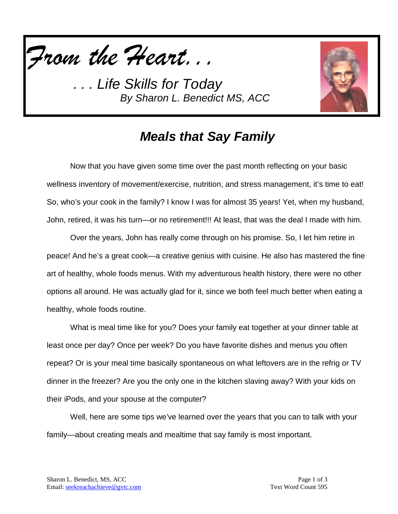



### *Meals that Say Family*

Now that you have given some time over the past month reflecting on your basic wellness inventory of movement/exercise, nutrition, and stress management, it's time to eat! So, who's your cook in the family? I know I was for almost 35 years! Yet, when my husband, John, retired, it was his turn—or no retirement!!! At least, that was the deal I made with him.

Over the years, John has really come through on his promise. So, I let him retire in peace! And he's a great cook—a creative genius with cuisine. He also has mastered the fine art of healthy, whole foods menus. With my adventurous health history, there were no other options all around. He was actually glad for it, since we both feel much better when eating a healthy, whole foods routine.

What is meal time like for you? Does your family eat together at your dinner table at least once per day? Once per week? Do you have favorite dishes and menus you often repeat? Or is your meal time basically spontaneous on what leftovers are in the refrig or TV dinner in the freezer? Are you the only one in the kitchen slaving away? With your kids on their iPods, and your spouse at the computer?

Well, here are some tips we've learned over the years that you can to talk with your family—about creating meals and mealtime that say family is most important.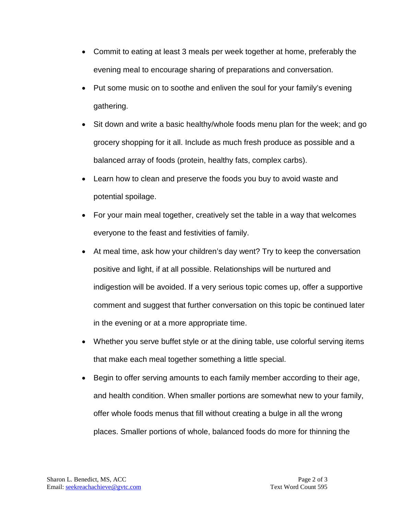- Commit to eating at least 3 meals per week together at home, preferably the evening meal to encourage sharing of preparations and conversation.
- Put some music on to soothe and enliven the soul for your family's evening gathering.
- Sit down and write a basic healthy/whole foods menu plan for the week; and go grocery shopping for it all. Include as much fresh produce as possible and a balanced array of foods (protein, healthy fats, complex carbs).
- Learn how to clean and preserve the foods you buy to avoid waste and potential spoilage.
- For your main meal together, creatively set the table in a way that welcomes everyone to the feast and festivities of family.
- At meal time, ask how your children's day went? Try to keep the conversation positive and light, if at all possible. Relationships will be nurtured and indigestion will be avoided. If a very serious topic comes up, offer a supportive comment and suggest that further conversation on this topic be continued later in the evening or at a more appropriate time.
- Whether you serve buffet style or at the dining table, use colorful serving items that make each meal together something a little special.
- Begin to offer serving amounts to each family member according to their age, and health condition. When smaller portions are somewhat new to your family, offer whole foods menus that fill without creating a bulge in all the wrong places. Smaller portions of whole, balanced foods do more for thinning the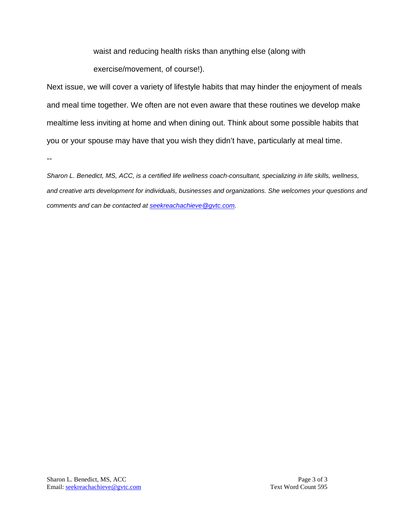waist and reducing health risks than anything else (along with

exercise/movement, of course!).

Next issue, we will cover a variety of lifestyle habits that may hinder the enjoyment of meals and meal time together. We often are not even aware that these routines we develop make mealtime less inviting at home and when dining out. Think about some possible habits that you or your spouse may have that you wish they didn't have, particularly at meal time.

--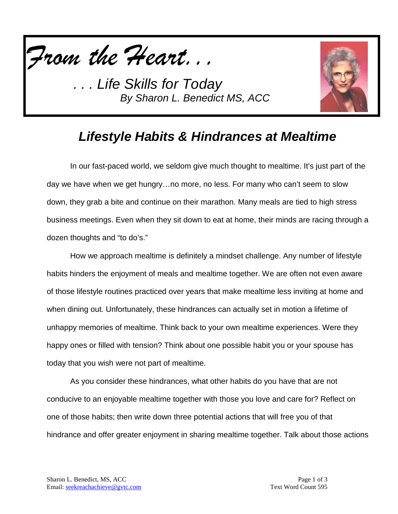



# *Lifestyle Habits & Hindrances at Mealtime*

In our fast-paced world, we seldom give much thought to mealtime. It's just part of the day we have when we get hungry…no more, no less. For many who can't seem to slow down, they grab a bite and continue on their marathon. Many meals are tied to high stress business meetings. Even when they sit down to eat at home, their minds are racing through a dozen thoughts and "to do's."

How we approach mealtime is definitely a mindset challenge. Any number of lifestyle habits hinders the enjoyment of meals and mealtime together. We are often not even aware of those lifestyle routines practiced over years that make mealtime less inviting at home and when dining out. Unfortunately, these hindrances can actually set in motion a lifetime of unhappy memories of mealtime. Think back to your own mealtime experiences. Were they happy ones or filled with tension? Think about one possible habit you or your spouse has today that you wish were not part of mealtime.

As you consider these hindrances, what other habits do you have that are not conducive to an enjoyable mealtime together with those you love and care for? Reflect on one of those habits; then write down three potential actions that will free you of that hindrance and offer greater enjoyment in sharing mealtime together. Talk about those actions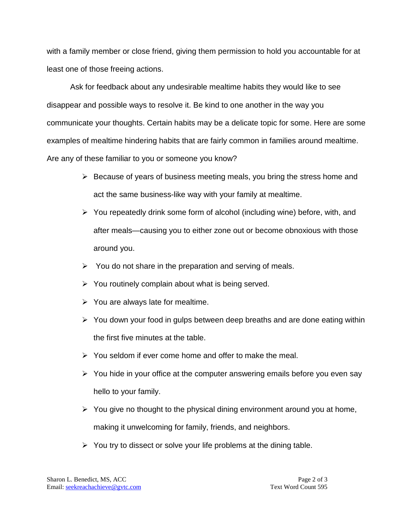with a family member or close friend, giving them permission to hold you accountable for at least one of those freeing actions.

Ask for feedback about any undesirable mealtime habits they would like to see disappear and possible ways to resolve it. Be kind to one another in the way you communicate your thoughts. Certain habits may be a delicate topic for some. Here are some examples of mealtime hindering habits that are fairly common in families around mealtime. Are any of these familiar to you or someone you know?

- $\triangleright$  Because of years of business meeting meals, you bring the stress home and act the same business-like way with your family at mealtime.
- $\triangleright$  You repeatedly drink some form of alcohol (including wine) before, with, and after meals—causing you to either zone out or become obnoxious with those around you.
- $\triangleright$  You do not share in the preparation and serving of meals.
- $\triangleright$  You routinely complain about what is being served.
- $\triangleright$  You are always late for mealtime.
- $\triangleright$  You down your food in gulps between deep breaths and are done eating within the first five minutes at the table.
- $\triangleright$  You seldom if ever come home and offer to make the meal.
- $\triangleright$  You hide in your office at the computer answering emails before you even say hello to your family.
- $\triangleright$  You give no thought to the physical dining environment around you at home, making it unwelcoming for family, friends, and neighbors.
- $\triangleright$  You try to dissect or solve your life problems at the dining table.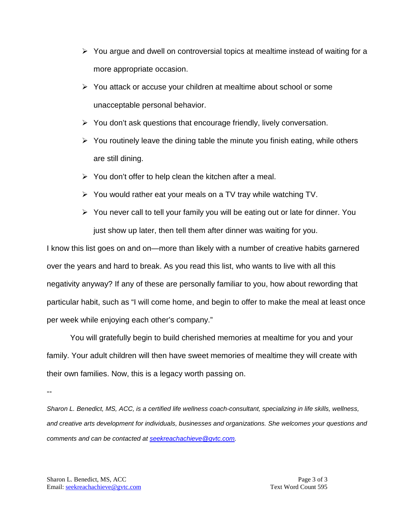- $\triangleright$  You argue and dwell on controversial topics at mealtime instead of waiting for a more appropriate occasion.
- $\triangleright$  You attack or accuse your children at mealtime about school or some unacceptable personal behavior.
- $\triangleright$  You don't ask questions that encourage friendly, lively conversation.
- $\triangleright$  You routinely leave the dining table the minute you finish eating, while others are still dining.
- $\triangleright$  You don't offer to help clean the kitchen after a meal.
- $\triangleright$  You would rather eat your meals on a TV tray while watching TV.
- $\triangleright$  You never call to tell your family you will be eating out or late for dinner. You just show up later, then tell them after dinner was waiting for you.

I know this list goes on and on—more than likely with a number of creative habits garnered over the years and hard to break. As you read this list, who wants to live with all this negativity anyway? If any of these are personally familiar to you, how about rewording that particular habit, such as "I will come home, and begin to offer to make the meal at least once per week while enjoying each other's company."

You will gratefully begin to build cherished memories at mealtime for you and your family. Your adult children will then have sweet memories of mealtime they will create with their own families. Now, this is a legacy worth passing on.

--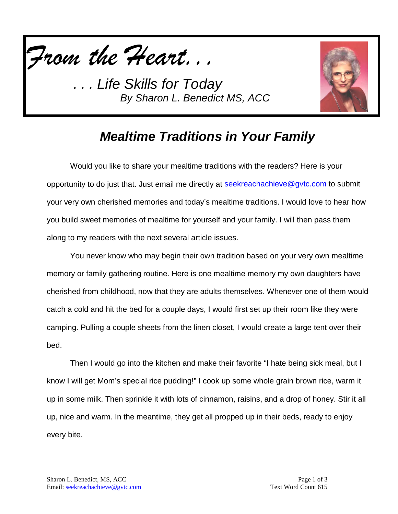



# *Mealtime Traditions in Your Family*

Would you like to share your mealtime traditions with the readers? Here is your opportunity to do just that. Just email me directly at [seekreachachieve@gvtc.com](mailto:seekreachachieve@gvtc.com) to submit your very own cherished memories and today's mealtime traditions. I would love to hear how you build sweet memories of mealtime for yourself and your family. I will then pass them along to my readers with the next several article issues.

You never know who may begin their own tradition based on your very own mealtime memory or family gathering routine. Here is one mealtime memory my own daughters have cherished from childhood, now that they are adults themselves. Whenever one of them would catch a cold and hit the bed for a couple days, I would first set up their room like they were camping. Pulling a couple sheets from the linen closet, I would create a large tent over their bed.

Then I would go into the kitchen and make their favorite "I hate being sick meal, but I know I will get Mom's special rice pudding!" I cook up some whole grain brown rice, warm it up in some milk. Then sprinkle it with lots of cinnamon, raisins, and a drop of honey. Stir it all up, nice and warm. In the meantime, they get all propped up in their beds, ready to enjoy every bite.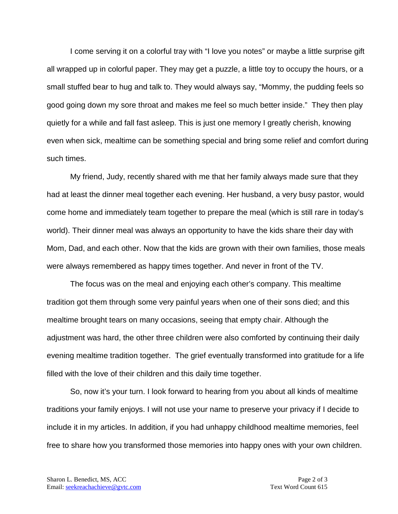I come serving it on a colorful tray with "I love you notes" or maybe a little surprise gift all wrapped up in colorful paper. They may get a puzzle, a little toy to occupy the hours, or a small stuffed bear to hug and talk to. They would always say, "Mommy, the pudding feels so good going down my sore throat and makes me feel so much better inside." They then play quietly for a while and fall fast asleep. This is just one memory I greatly cherish, knowing even when sick, mealtime can be something special and bring some relief and comfort during such times.

My friend, Judy, recently shared with me that her family always made sure that they had at least the dinner meal together each evening. Her husband, a very busy pastor, would come home and immediately team together to prepare the meal (which is still rare in today's world). Their dinner meal was always an opportunity to have the kids share their day with Mom, Dad, and each other. Now that the kids are grown with their own families, those meals were always remembered as happy times together. And never in front of the TV.

The focus was on the meal and enjoying each other's company. This mealtime tradition got them through some very painful years when one of their sons died; and this mealtime brought tears on many occasions, seeing that empty chair. Although the adjustment was hard, the other three children were also comforted by continuing their daily evening mealtime tradition together. The grief eventually transformed into gratitude for a life filled with the love of their children and this daily time together.

So, now it's your turn. I look forward to hearing from you about all kinds of mealtime traditions your family enjoys. I will not use your name to preserve your privacy if I decide to include it in my articles. In addition, if you had unhappy childhood mealtime memories, feel free to share how you transformed those memories into happy ones with your own children.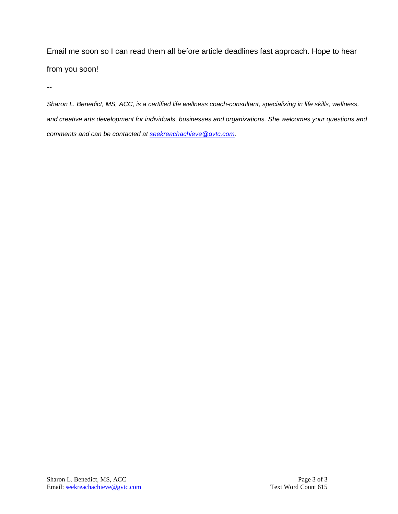Email me soon so I can read them all before article deadlines fast approach. Hope to hear from you soon!

--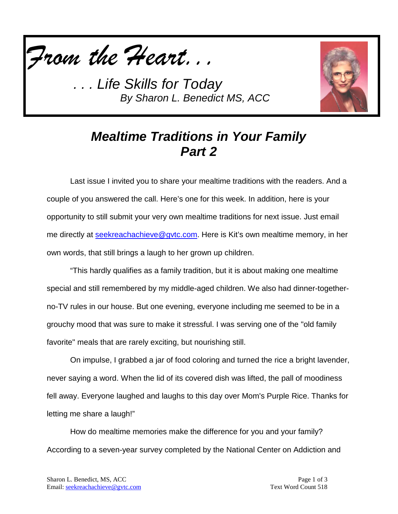



# *Mealtime Traditions in Your Family Part 2*

Last issue I invited you to share your mealtime traditions with the readers. And a couple of you answered the call. Here's one for this week. In addition, here is your opportunity to still submit your very own mealtime traditions for next issue. Just email me directly at [seekreachachieve@gvtc.com.](mailto:seekreachachieve@gvtc.com) Here is Kit's own mealtime memory, in her own words, that still brings a laugh to her grown up children.

"This hardly qualifies as a family tradition, but it is about making one mealtime special and still remembered by my middle-aged children. We also had dinner-togetherno-TV rules in our house. But one evening, everyone including me seemed to be in a grouchy mood that was sure to make it stressful. I was serving one of the "old family favorite" meals that are rarely exciting, but nourishing still.

On impulse, I grabbed a jar of food coloring and turned the rice a bright lavender, never saying a word. When the lid of its covered dish was lifted, the pall of moodiness fell away. Everyone laughed and laughs to this day over Mom's Purple Rice. Thanks for letting me share a laugh!"

How do mealtime memories make the difference for you and your family? According to a seven-year survey completed by the National Center on Addiction and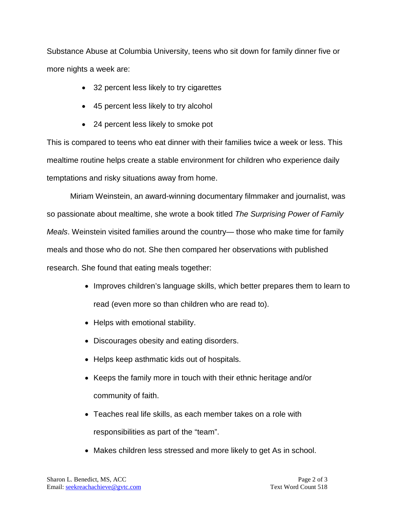Substance Abuse at Columbia University, teens who sit down for family dinner five or more nights a week are:

- 32 percent less likely to try cigarettes
- 45 percent less likely to try alcohol
- 24 percent less likely to smoke pot

This is compared to teens who eat dinner with their families twice a week or less. This mealtime routine helps create a stable environment for children who experience daily temptations and risky situations away from home.

Miriam Weinstein, an award-winning documentary filmmaker and journalist, was so passionate about mealtime, she wrote a book titled *The Surprising Power of Family Meals*. Weinstein visited families around the country— those who make time for family meals and those who do not. She then compared her observations with published research. She found that eating meals together:

- Improves children's language skills, which better prepares them to learn to read (even more so than children who are read to).
- Helps with emotional stability.
- Discourages obesity and eating disorders.
- Helps keep asthmatic kids out of hospitals.
- Keeps the family more in touch with their ethnic heritage and/or community of faith.
- Teaches real life skills, as each member takes on a role with responsibilities as part of the "team".
- Makes children less stressed and more likely to get As in school.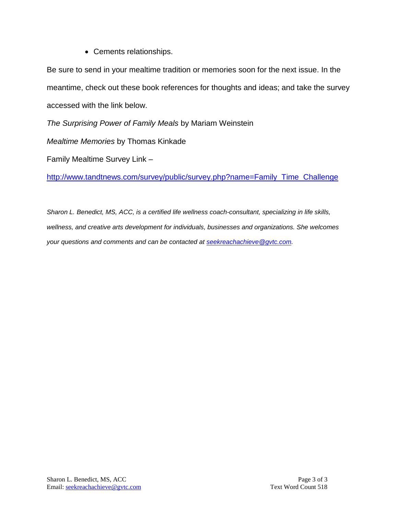• Cements relationships.

Be sure to send in your mealtime tradition or memories soon for the next issue. In the meantime, check out these book references for thoughts and ideas; and take the survey accessed with the link below.

*The Surprising Power of Family Meals* by Mariam Weinstein

*Mealtime Memories* by Thomas Kinkade

Family Mealtime Survey Link –

[http://www.tandtnews.com/survey/public/survey.php?name=Family\\_Time\\_Challenge](http://www.tandtnews.com/survey/public/survey.php?name=Family_Time_Challenge)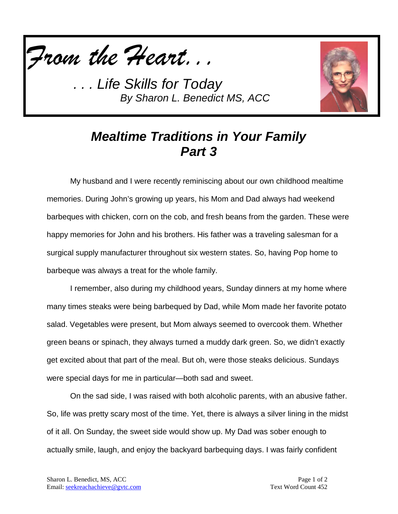



# *Mealtime Traditions in Your Family Part 3*

My husband and I were recently reminiscing about our own childhood mealtime memories. During John's growing up years, his Mom and Dad always had weekend barbeques with chicken, corn on the cob, and fresh beans from the garden. These were happy memories for John and his brothers. His father was a traveling salesman for a surgical supply manufacturer throughout six western states. So, having Pop home to barbeque was always a treat for the whole family.

I remember, also during my childhood years, Sunday dinners at my home where many times steaks were being barbequed by Dad, while Mom made her favorite potato salad. Vegetables were present, but Mom always seemed to overcook them. Whether green beans or spinach, they always turned a muddy dark green. So, we didn't exactly get excited about that part of the meal. But oh, were those steaks delicious. Sundays were special days for me in particular—both sad and sweet.

On the sad side, I was raised with both alcoholic parents, with an abusive father. So, life was pretty scary most of the time. Yet, there is always a silver lining in the midst of it all. On Sunday, the sweet side would show up. My Dad was sober enough to actually smile, laugh, and enjoy the backyard barbequing days. I was fairly confident